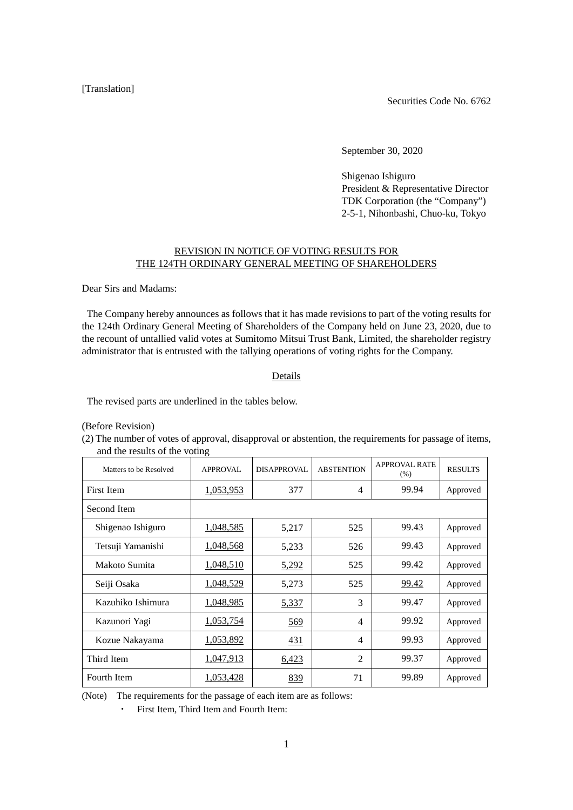## [Translation]

Securities Code No. 6762

September 30, 2020

Shigenao Ishiguro President & Representative Director TDK Corporation (the "Company") 2-5-1, Nihonbashi, Chuo-ku, Tokyo

## REVISION IN NOTICE OF VOTING RESULTS FOR THE 124TH ORDINARY GENERAL MEETING OF SHAREHOLDERS

Dear Sirs and Madams:

The Company hereby announces as follows that it has made revisions to part of the voting results for the 124th Ordinary General Meeting of Shareholders of the Company held on June 23, 2020, due to the recount of untallied valid votes at Sumitomo Mitsui Trust Bank, Limited, the shareholder registry administrator that is entrusted with the tallying operations of voting rights for the Company.

## Details

The revised parts are underlined in the tables below.

(Before Revision)

(2) The number of votes of approval, disapproval or abstention, the requirements for passage of items, and the results of the voting

| Matters to be Resolved | <b>APPROVAL</b>  | <b>DISAPPROVAL</b> | <b>ABSTENTION</b> | <b>APPROVAL RATE</b><br>(% ) | <b>RESULTS</b> |
|------------------------|------------------|--------------------|-------------------|------------------------------|----------------|
| First Item             | 1,053,953        | 377                | 4                 | 99.94                        | Approved       |
| Second Item            |                  |                    |                   |                              |                |
| Shigenao Ishiguro      | <u>1,048,585</u> | 5,217              | 525               | 99.43                        | Approved       |
| Tetsuji Yamanishi      | 1,048,568        | 5,233              | 526               | 99.43                        | Approved       |
| Makoto Sumita          | 1,048,510        | 5,292              | 525               | 99.42                        | Approved       |
| Seiji Osaka            | 1,048,529        | 5,273              | 525               | 99.42                        | Approved       |
| Kazuhiko Ishimura      | <u>1,048,985</u> | 5,337              | 3                 | 99.47                        | Approved       |
| Kazunori Yagi          | 1,053,754        | 569                | $\overline{4}$    | 99.92                        | Approved       |
| Kozue Nakayama         | 1,053,892        | 431                | 4                 | 99.93                        | Approved       |
| Third Item             | 1,047,913        | 6,423              | $\overline{c}$    | 99.37                        | Approved       |
| Fourth Item            | 1,053,428        | 839                | 71                | 99.89                        | Approved       |

(Note) The requirements for the passage of each item are as follows:

・ First Item, Third Item and Fourth Item: